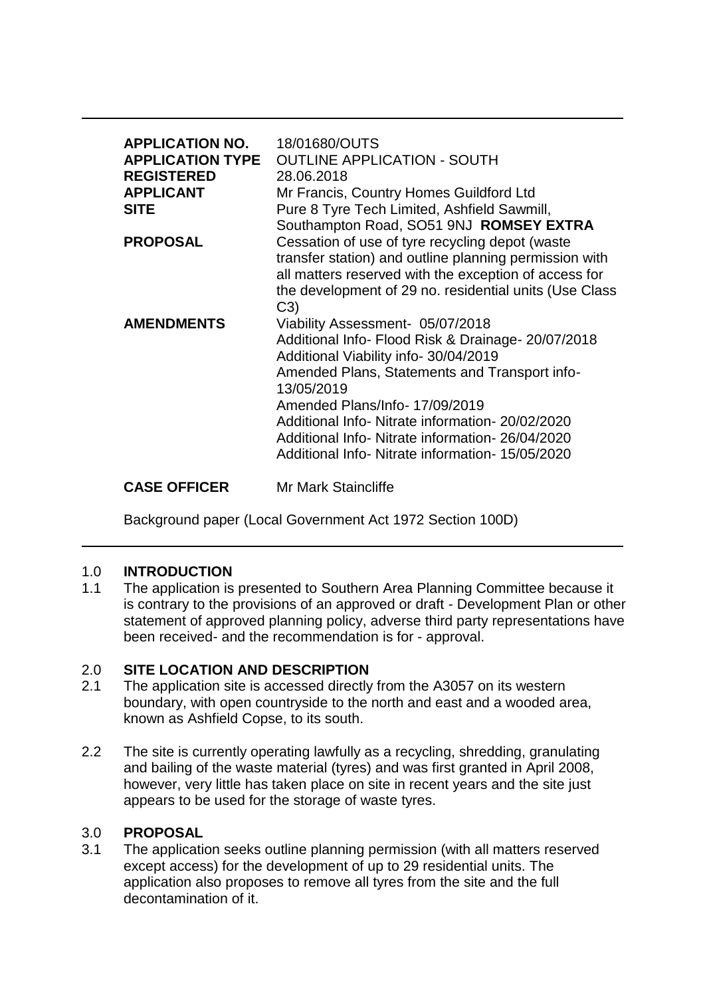| <b>APPLICATION NO.</b><br><b>APPLICATION TYPE</b><br><b>REGISTERED</b><br><b>APPLICANT</b><br><b>SITE</b> | 18/01680/OUTS<br><b>OUTLINE APPLICATION - SOUTH</b><br>28.06.2018<br>Mr Francis, Country Homes Guildford Ltd<br>Pure 8 Tyre Tech Limited, Ashfield Sawmill,<br>Southampton Road, SO51 9NJ ROMSEY EXTRA                                                                                                                                                                                      |
|-----------------------------------------------------------------------------------------------------------|---------------------------------------------------------------------------------------------------------------------------------------------------------------------------------------------------------------------------------------------------------------------------------------------------------------------------------------------------------------------------------------------|
| <b>PROPOSAL</b>                                                                                           | Cessation of use of tyre recycling depot (waste<br>transfer station) and outline planning permission with<br>all matters reserved with the exception of access for<br>the development of 29 no. residential units (Use Class<br>C3)                                                                                                                                                         |
| <b>AMENDMENTS</b>                                                                                         | Viability Assessment- 05/07/2018<br>Additional Info- Flood Risk & Drainage- 20/07/2018<br>Additional Viability info- 30/04/2019<br>Amended Plans, Statements and Transport info-<br>13/05/2019<br>Amended Plans/Info-17/09/2019<br>Additional Info- Nitrate information- 20/02/2020<br>Additional Info- Nitrate information- 26/04/2020<br>Additional Info- Nitrate information- 15/05/2020 |
|                                                                                                           |                                                                                                                                                                                                                                                                                                                                                                                             |

## **CASE OFFICER** Mr Mark Staincliffe

Background paper (Local Government Act 1972 Section 100D)

### 1.0 **INTRODUCTION**

1.1 The application is presented to Southern Area Planning Committee because it is contrary to the provisions of an approved or draft - Development Plan or other statement of approved planning policy, adverse third party representations have been received- and the recommendation is for - approval.

# 2.0 **SITE LOCATION AND DESCRIPTION**

- 2.1 The application site is accessed directly from the A3057 on its western boundary, with open countryside to the north and east and a wooded area, known as Ashfield Copse, to its south.
- 2.2 The site is currently operating lawfully as a recycling, shredding, granulating and bailing of the waste material (tyres) and was first granted in April 2008, however, very little has taken place on site in recent years and the site just appears to be used for the storage of waste tyres.

### 3.0 **PROPOSAL**

3.1 The application seeks outline planning permission (with all matters reserved except access) for the development of up to 29 residential units. The application also proposes to remove all tyres from the site and the full decontamination of it.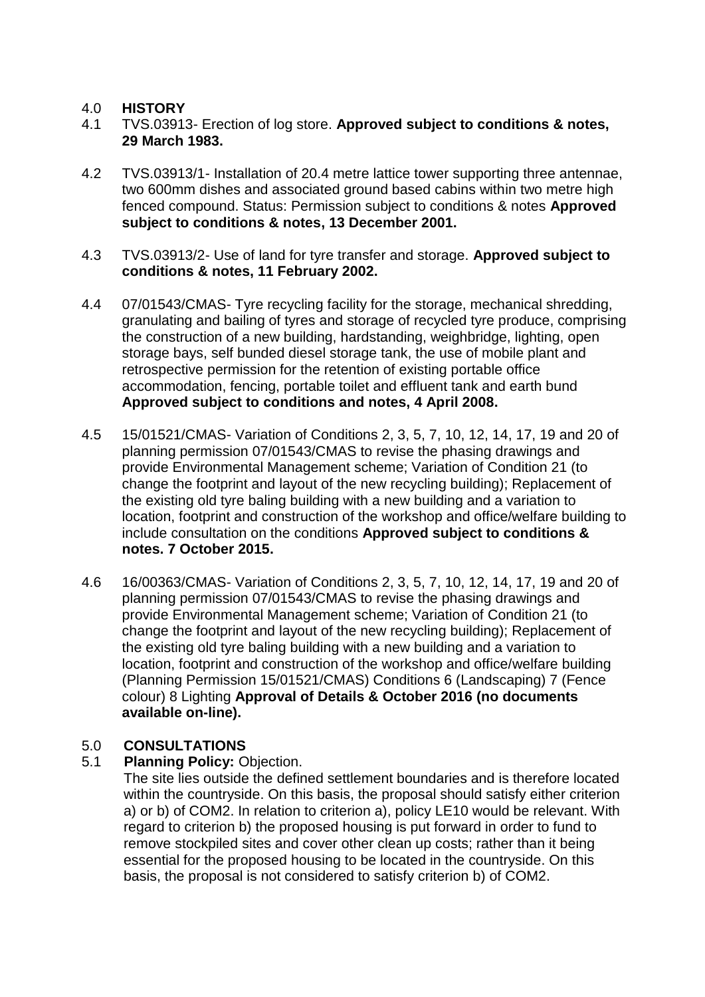### 4.0 **HISTORY**

- 4.1 TVS.03913- Erection of log store. **Approved subject to conditions & notes, 29 March 1983.**
- 4.2 TVS.03913/1- Installation of 20.4 metre lattice tower supporting three antennae, two 600mm dishes and associated ground based cabins within two metre high fenced compound. Status: Permission subject to conditions & notes **Approved subject to conditions & notes, 13 December 2001.**
- 4.3 TVS.03913/2- Use of land for tyre transfer and storage. **Approved subject to conditions & notes, 11 February 2002.**
- 4.4 07/01543/CMAS- Tyre recycling facility for the storage, mechanical shredding, granulating and bailing of tyres and storage of recycled tyre produce, comprising the construction of a new building, hardstanding, weighbridge, lighting, open storage bays, self bunded diesel storage tank, the use of mobile plant and retrospective permission for the retention of existing portable office accommodation, fencing, portable toilet and effluent tank and earth bund **Approved subject to conditions and notes, 4 April 2008.**
- 4.5 15/01521/CMAS- Variation of Conditions 2, 3, 5, 7, 10, 12, 14, 17, 19 and 20 of planning permission 07/01543/CMAS to revise the phasing drawings and provide Environmental Management scheme; Variation of Condition 21 (to change the footprint and layout of the new recycling building); Replacement of the existing old tyre baling building with a new building and a variation to location, footprint and construction of the workshop and office/welfare building to include consultation on the conditions **Approved subject to conditions & notes. 7 October 2015.**
- 4.6 16/00363/CMAS- Variation of Conditions 2, 3, 5, 7, 10, 12, 14, 17, 19 and 20 of planning permission 07/01543/CMAS to revise the phasing drawings and provide Environmental Management scheme; Variation of Condition 21 (to change the footprint and layout of the new recycling building); Replacement of the existing old tyre baling building with a new building and a variation to location, footprint and construction of the workshop and office/welfare building (Planning Permission 15/01521/CMAS) Conditions 6 (Landscaping) 7 (Fence colour) 8 Lighting **Approval of Details & October 2016 (no documents available on-line).**

# 5.0 **CONSULTATIONS**

# 5.1 **Planning Policy:** Objection.

The site lies outside the defined settlement boundaries and is therefore located within the countryside. On this basis, the proposal should satisfy either criterion a) or b) of COM2. In relation to criterion a), policy LE10 would be relevant. With regard to criterion b) the proposed housing is put forward in order to fund to remove stockpiled sites and cover other clean up costs; rather than it being essential for the proposed housing to be located in the countryside. On this basis, the proposal is not considered to satisfy criterion b) of COM2.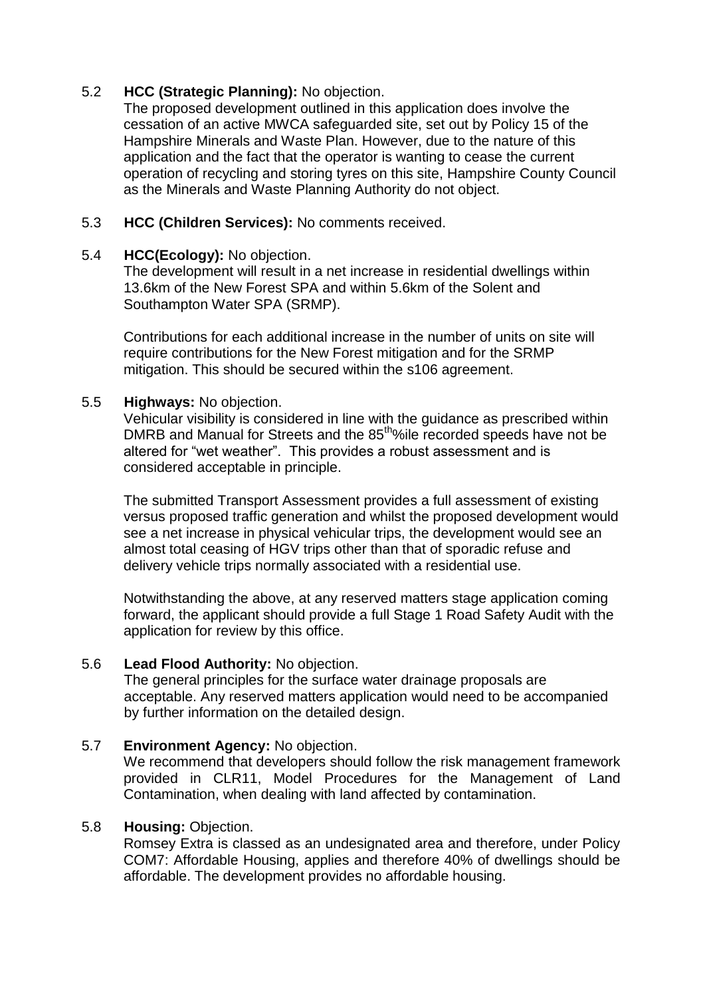## 5.2 **HCC (Strategic Planning):** No objection.

The proposed development outlined in this application does involve the cessation of an active MWCA safeguarded site, set out by Policy 15 of the Hampshire Minerals and Waste Plan. However, due to the nature of this application and the fact that the operator is wanting to cease the current operation of recycling and storing tyres on this site, Hampshire County Council as the Minerals and Waste Planning Authority do not object.

### 5.3 **HCC (Children Services):** No comments received.

## 5.4 **HCC(Ecology):** No objection.

The development will result in a net increase in residential dwellings within 13.6km of the New Forest SPA and within 5.6km of the Solent and Southampton Water SPA (SRMP).

Contributions for each additional increase in the number of units on site will require contributions for the New Forest mitigation and for the SRMP mitigation. This should be secured within the s106 agreement.

## 5.5 **Highways:** No objection.

Vehicular visibility is considered in line with the guidance as prescribed within DMRB and Manual for Streets and the 85<sup>tholo</sup>le recorded speeds have not be altered for "wet weather". This provides a robust assessment and is considered acceptable in principle.

The submitted Transport Assessment provides a full assessment of existing versus proposed traffic generation and whilst the proposed development would see a net increase in physical vehicular trips, the development would see an almost total ceasing of HGV trips other than that of sporadic refuse and delivery vehicle trips normally associated with a residential use.

Notwithstanding the above, at any reserved matters stage application coming forward, the applicant should provide a full Stage 1 Road Safety Audit with the application for review by this office.

### 5.6 **Lead Flood Authority:** No objection.

The general principles for the surface water drainage proposals are acceptable. Any reserved matters application would need to be accompanied by further information on the detailed design.

# 5.7 **Environment Agency:** No objection.

We recommend that developers should follow the risk management framework provided in CLR11, Model Procedures for the Management of Land Contamination, when dealing with land affected by contamination.

### 5.8 **Housing:** Objection.

Romsey Extra is classed as an undesignated area and therefore, under Policy COM7: Affordable Housing, applies and therefore 40% of dwellings should be affordable. The development provides no affordable housing.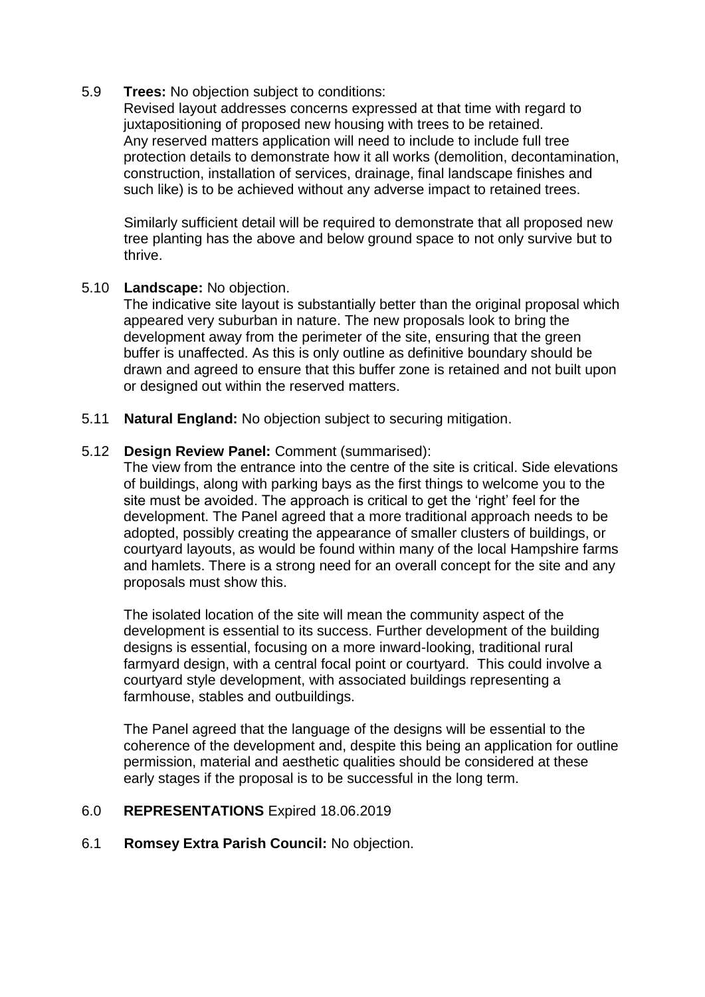### 5.9 **Trees:** No objection subject to conditions:

Revised layout addresses concerns expressed at that time with regard to juxtapositioning of proposed new housing with trees to be retained. Any reserved matters application will need to include to include full tree protection details to demonstrate how it all works (demolition, decontamination, construction, installation of services, drainage, final landscape finishes and such like) is to be achieved without any adverse impact to retained trees.

Similarly sufficient detail will be required to demonstrate that all proposed new tree planting has the above and below ground space to not only survive but to thrive.

### 5.10 **Landscape:** No objection.

The indicative site layout is substantially better than the original proposal which appeared very suburban in nature. The new proposals look to bring the development away from the perimeter of the site, ensuring that the green buffer is unaffected. As this is only outline as definitive boundary should be drawn and agreed to ensure that this buffer zone is retained and not built upon or designed out within the reserved matters.

5.11 **Natural England:** No objection subject to securing mitigation.

### 5.12 **Design Review Panel:** Comment (summarised):

The view from the entrance into the centre of the site is critical. Side elevations of buildings, along with parking bays as the first things to welcome you to the site must be avoided. The approach is critical to get the 'right' feel for the development. The Panel agreed that a more traditional approach needs to be adopted, possibly creating the appearance of smaller clusters of buildings, or courtyard layouts, as would be found within many of the local Hampshire farms and hamlets. There is a strong need for an overall concept for the site and any proposals must show this.

The isolated location of the site will mean the community aspect of the development is essential to its success. Further development of the building designs is essential, focusing on a more inward-looking, traditional rural farmyard design, with a central focal point or courtyard. This could involve a courtyard style development, with associated buildings representing a farmhouse, stables and outbuildings.

The Panel agreed that the language of the designs will be essential to the coherence of the development and, despite this being an application for outline permission, material and aesthetic qualities should be considered at these early stages if the proposal is to be successful in the long term.

### 6.0 **REPRESENTATIONS** Expired 18.06.2019

# 6.1 **Romsey Extra Parish Council:** No objection.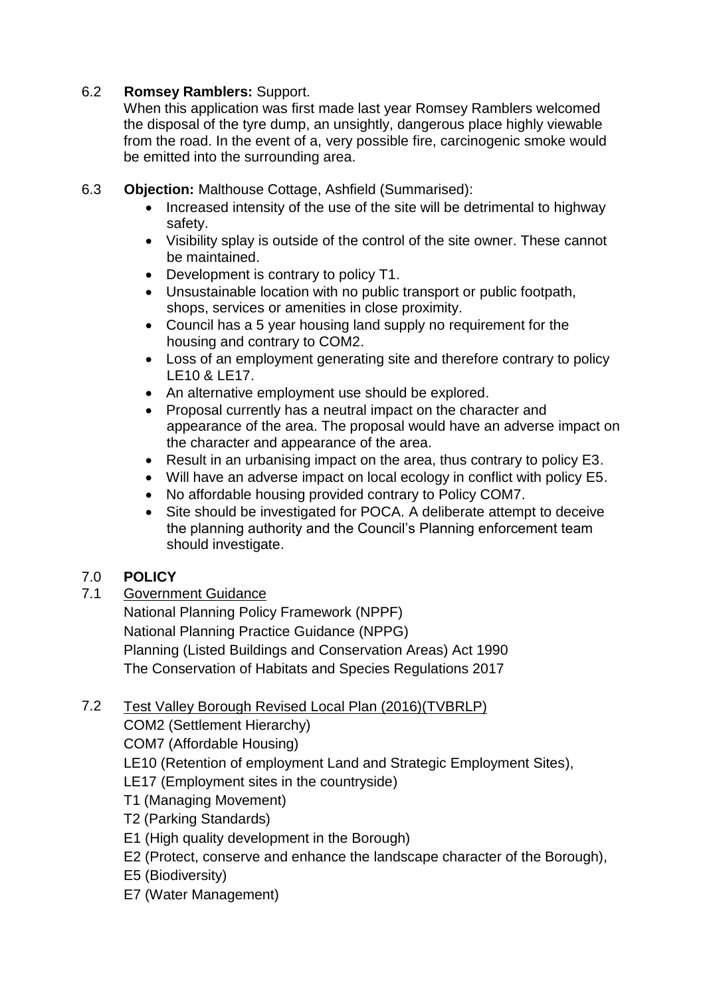# 6.2 **Romsey Ramblers:** Support.

When this application was first made last year Romsey Ramblers welcomed the disposal of the tyre dump, an unsightly, dangerous place highly viewable from the road. In the event of a, very possible fire, carcinogenic smoke would be emitted into the surrounding area.

- 6.3 **Objection:** Malthouse Cottage, Ashfield (Summarised):
	- Increased intensity of the use of the site will be detrimental to highway safety.
	- Visibility splay is outside of the control of the site owner. These cannot be maintained.
	- Development is contrary to policy T1.
	- Unsustainable location with no public transport or public footpath, shops, services or amenities in close proximity.
	- Council has a 5 year housing land supply no requirement for the housing and contrary to COM2.
	- Loss of an employment generating site and therefore contrary to policy LE10 & LE17.
	- An alternative employment use should be explored.
	- Proposal currently has a neutral impact on the character and appearance of the area. The proposal would have an adverse impact on the character and appearance of the area.
	- Result in an urbanising impact on the area, thus contrary to policy E3.
	- Will have an adverse impact on local ecology in conflict with policy E5.
	- No affordable housing provided contrary to Policy COM7.
	- Site should be investigated for POCA. A deliberate attempt to deceive the planning authority and the Council's Planning enforcement team should investigate.

# 7.0 **POLICY**

7.1 Government Guidance

National Planning Policy Framework (NPPF) National Planning Practice Guidance (NPPG) Planning (Listed Buildings and Conservation Areas) Act 1990 The Conservation of Habitats and Species Regulations 2017

# 7.2 Test Valley Borough Revised Local Plan (2016)(TVBRLP)

COM2 (Settlement Hierarchy)

COM7 (Affordable Housing)

- LE10 (Retention of employment Land and Strategic Employment Sites),
- LE17 (Employment sites in the countryside)
- T1 (Managing Movement)
- T2 (Parking Standards)
- E1 (High quality development in the Borough)
- E2 (Protect, conserve and enhance the landscape character of the Borough),
- E5 (Biodiversity)
- E7 (Water Management)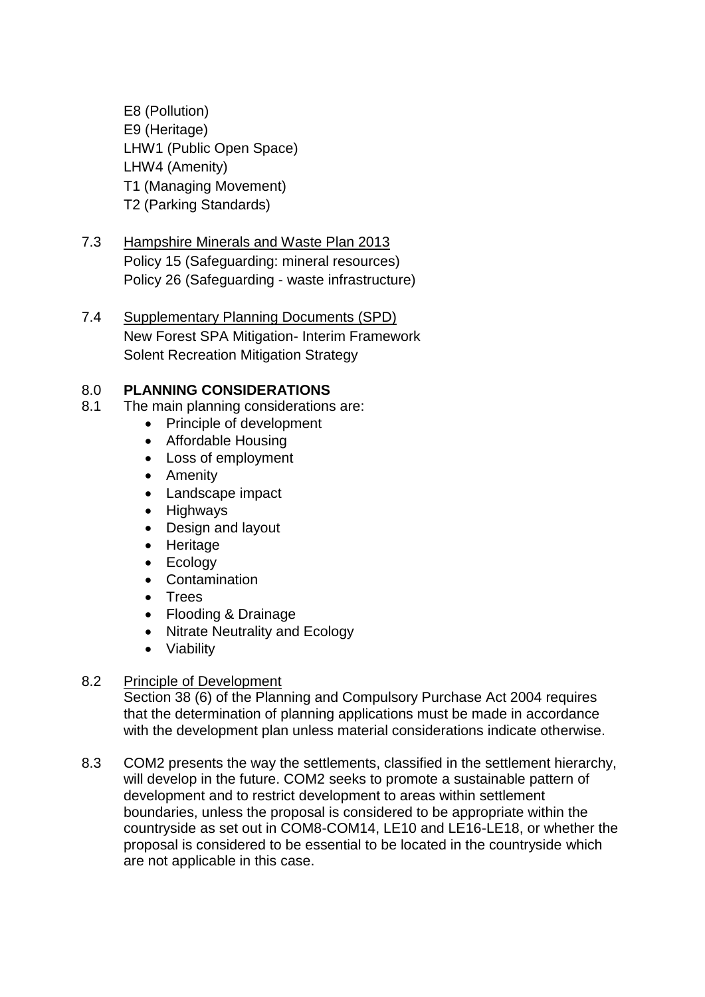E8 (Pollution) E9 (Heritage) LHW1 (Public Open Space) LHW4 (Amenity) T1 (Managing Movement) T2 (Parking Standards)

- 7.3 Hampshire Minerals and Waste Plan 2013 Policy 15 (Safeguarding: mineral resources) Policy 26 (Safeguarding - waste infrastructure)
- 7.4 Supplementary Planning Documents (SPD) New Forest SPA Mitigation- Interim Framework Solent Recreation Mitigation Strategy

# 8.0 **PLANNING CONSIDERATIONS**

- 8.1 The main planning considerations are:
	- Principle of development
	- Affordable Housing
	- Loss of employment
	- Amenity
	- Landscape impact
	- Highways
	- Design and layout
	- Heritage
	- Ecology
	- Contamination
	- Trees
	- Flooding & Drainage
	- Nitrate Neutrality and Ecology
	- Viability

### 8.2 Principle of Development

Section 38 (6) of the Planning and Compulsory Purchase Act 2004 requires that the determination of planning applications must be made in accordance with the development plan unless material considerations indicate otherwise.

8.3 COM2 presents the way the settlements, classified in the settlement hierarchy, will develop in the future. COM2 seeks to promote a sustainable pattern of development and to restrict development to areas within settlement boundaries, unless the proposal is considered to be appropriate within the countryside as set out in COM8-COM14, LE10 and LE16-LE18, or whether the proposal is considered to be essential to be located in the countryside which are not applicable in this case.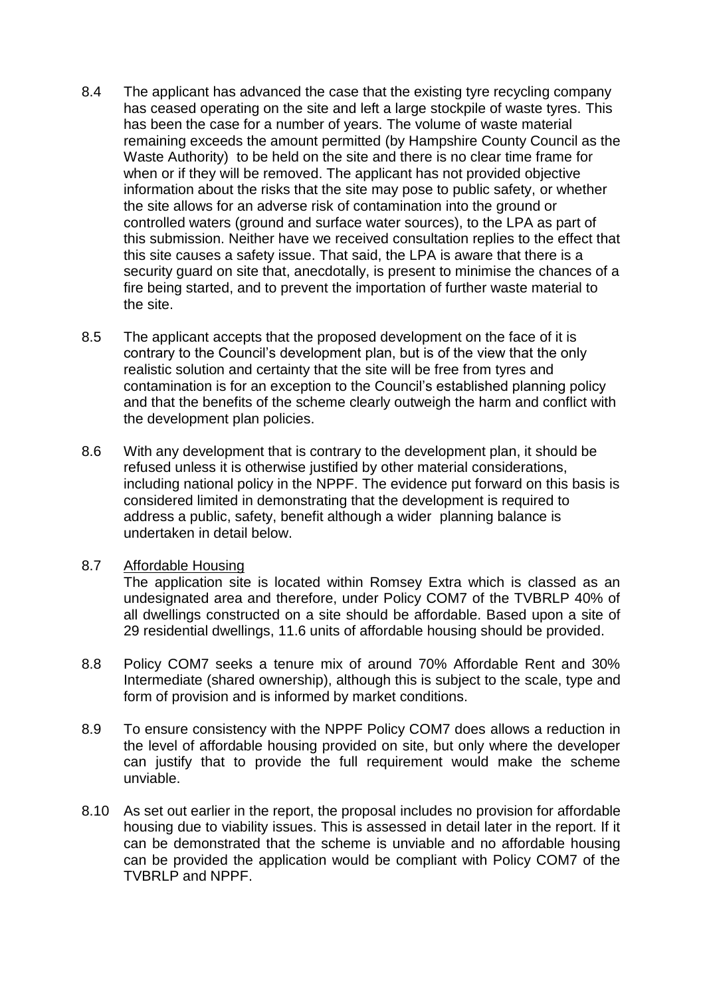- 8.4 The applicant has advanced the case that the existing tyre recycling company has ceased operating on the site and left a large stockpile of waste tyres. This has been the case for a number of years. The volume of waste material remaining exceeds the amount permitted (by Hampshire County Council as the Waste Authority) to be held on the site and there is no clear time frame for when or if they will be removed. The applicant has not provided objective information about the risks that the site may pose to public safety, or whether the site allows for an adverse risk of contamination into the ground or controlled waters (ground and surface water sources), to the LPA as part of this submission. Neither have we received consultation replies to the effect that this site causes a safety issue. That said, the LPA is aware that there is a security guard on site that, anecdotally, is present to minimise the chances of a fire being started, and to prevent the importation of further waste material to the site.
- 8.5 The applicant accepts that the proposed development on the face of it is contrary to the Council's development plan, but is of the view that the only realistic solution and certainty that the site will be free from tyres and contamination is for an exception to the Council's established planning policy and that the benefits of the scheme clearly outweigh the harm and conflict with the development plan policies.
- 8.6 With any development that is contrary to the development plan, it should be refused unless it is otherwise justified by other material considerations, including national policy in the NPPF. The evidence put forward on this basis is considered limited in demonstrating that the development is required to address a public, safety, benefit although a wider planning balance is undertaken in detail below.
- 8.7 Affordable Housing

The application site is located within Romsey Extra which is classed as an undesignated area and therefore, under Policy COM7 of the TVBRLP 40% of all dwellings constructed on a site should be affordable. Based upon a site of 29 residential dwellings, 11.6 units of affordable housing should be provided.

- 8.8 Policy COM7 seeks a tenure mix of around 70% Affordable Rent and 30% Intermediate (shared ownership), although this is subject to the scale, type and form of provision and is informed by market conditions.
- 8.9 To ensure consistency with the NPPF Policy COM7 does allows a reduction in the level of affordable housing provided on site, but only where the developer can justify that to provide the full requirement would make the scheme unviable.
- 8.10 As set out earlier in the report, the proposal includes no provision for affordable housing due to viability issues. This is assessed in detail later in the report. If it can be demonstrated that the scheme is unviable and no affordable housing can be provided the application would be compliant with Policy COM7 of the TVBRLP and NPPF.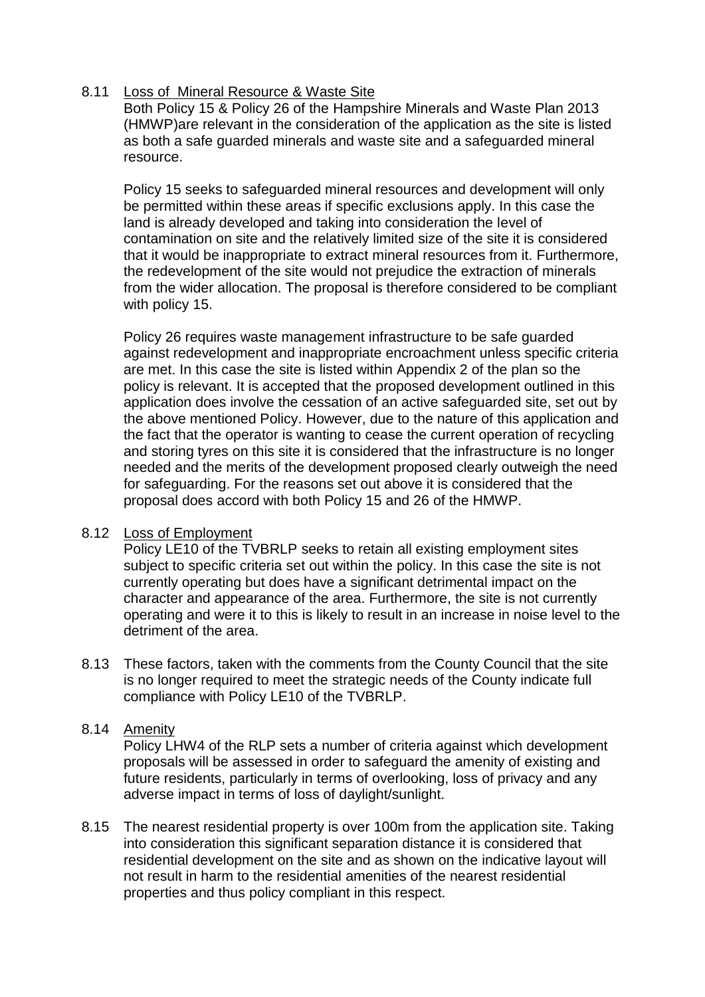## 8.11 Loss of Mineral Resource & Waste Site

Both Policy 15 & Policy 26 of the Hampshire Minerals and Waste Plan 2013 (HMWP)are relevant in the consideration of the application as the site is listed as both a safe guarded minerals and waste site and a safeguarded mineral resource.

Policy 15 seeks to safeguarded mineral resources and development will only be permitted within these areas if specific exclusions apply. In this case the land is already developed and taking into consideration the level of contamination on site and the relatively limited size of the site it is considered that it would be inappropriate to extract mineral resources from it. Furthermore, the redevelopment of the site would not prejudice the extraction of minerals from the wider allocation. The proposal is therefore considered to be compliant with policy 15.

Policy 26 requires waste management infrastructure to be safe guarded against redevelopment and inappropriate encroachment unless specific criteria are met. In this case the site is listed within Appendix 2 of the plan so the policy is relevant. It is accepted that the proposed development outlined in this application does involve the cessation of an active safeguarded site, set out by the above mentioned Policy. However, due to the nature of this application and the fact that the operator is wanting to cease the current operation of recycling and storing tyres on this site it is considered that the infrastructure is no longer needed and the merits of the development proposed clearly outweigh the need for safeguarding. For the reasons set out above it is considered that the proposal does accord with both Policy 15 and 26 of the HMWP.

### 8.12 Loss of Employment

Policy LE10 of the TVBRLP seeks to retain all existing employment sites subject to specific criteria set out within the policy. In this case the site is not currently operating but does have a significant detrimental impact on the character and appearance of the area. Furthermore, the site is not currently operating and were it to this is likely to result in an increase in noise level to the detriment of the area.

8.13 These factors, taken with the comments from the County Council that the site is no longer required to meet the strategic needs of the County indicate full compliance with Policy LE10 of the TVBRLP.

### 8.14 Amenity

Policy LHW4 of the RLP sets a number of criteria against which development proposals will be assessed in order to safeguard the amenity of existing and future residents, particularly in terms of overlooking, loss of privacy and any adverse impact in terms of loss of daylight/sunlight.

8.15 The nearest residential property is over 100m from the application site. Taking into consideration this significant separation distance it is considered that residential development on the site and as shown on the indicative layout will not result in harm to the residential amenities of the nearest residential properties and thus policy compliant in this respect.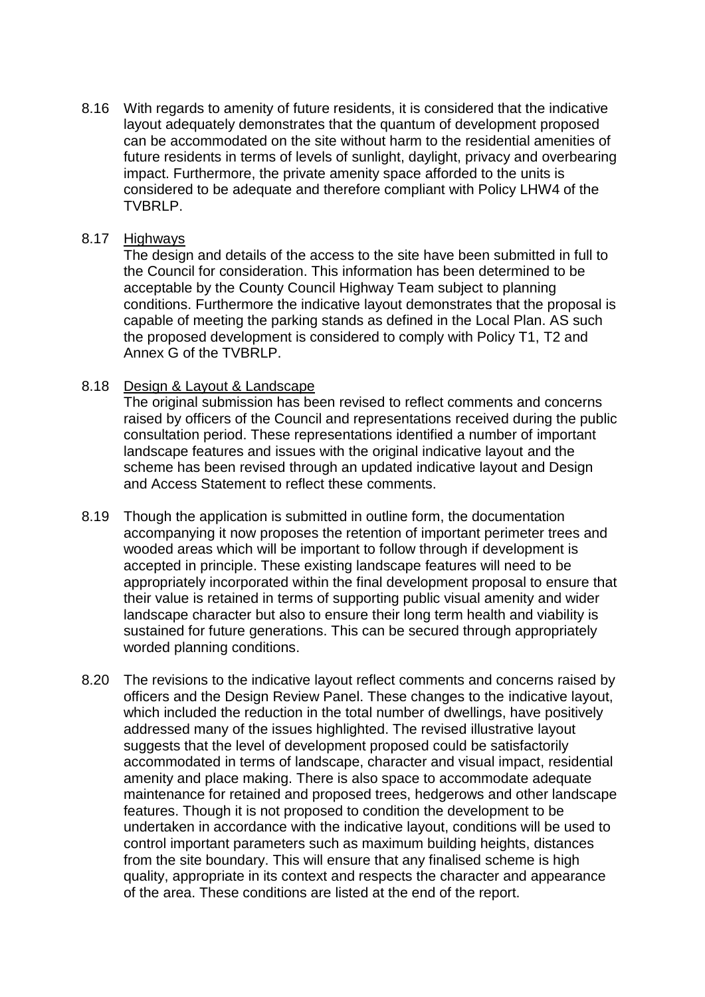8.16 With regards to amenity of future residents, it is considered that the indicative layout adequately demonstrates that the quantum of development proposed can be accommodated on the site without harm to the residential amenities of future residents in terms of levels of sunlight, daylight, privacy and overbearing impact. Furthermore, the private amenity space afforded to the units is considered to be adequate and therefore compliant with Policy LHW4 of the TVBRLP.

#### 8.17 Highways

The design and details of the access to the site have been submitted in full to the Council for consideration. This information has been determined to be acceptable by the County Council Highway Team subject to planning conditions. Furthermore the indicative layout demonstrates that the proposal is capable of meeting the parking stands as defined in the Local Plan. AS such the proposed development is considered to comply with Policy T1, T2 and Annex G of the TVBRLP.

### 8.18 Design & Layout & Landscape

The original submission has been revised to reflect comments and concerns raised by officers of the Council and representations received during the public consultation period. These representations identified a number of important landscape features and issues with the original indicative layout and the scheme has been revised through an updated indicative layout and Design and Access Statement to reflect these comments.

- 8.19 Though the application is submitted in outline form, the documentation accompanying it now proposes the retention of important perimeter trees and wooded areas which will be important to follow through if development is accepted in principle. These existing landscape features will need to be appropriately incorporated within the final development proposal to ensure that their value is retained in terms of supporting public visual amenity and wider landscape character but also to ensure their long term health and viability is sustained for future generations. This can be secured through appropriately worded planning conditions.
- 8.20 The revisions to the indicative layout reflect comments and concerns raised by officers and the Design Review Panel. These changes to the indicative layout, which included the reduction in the total number of dwellings, have positively addressed many of the issues highlighted. The revised illustrative layout suggests that the level of development proposed could be satisfactorily accommodated in terms of landscape, character and visual impact, residential amenity and place making. There is also space to accommodate adequate maintenance for retained and proposed trees, hedgerows and other landscape features. Though it is not proposed to condition the development to be undertaken in accordance with the indicative layout, conditions will be used to control important parameters such as maximum building heights, distances from the site boundary. This will ensure that any finalised scheme is high quality, appropriate in its context and respects the character and appearance of the area. These conditions are listed at the end of the report.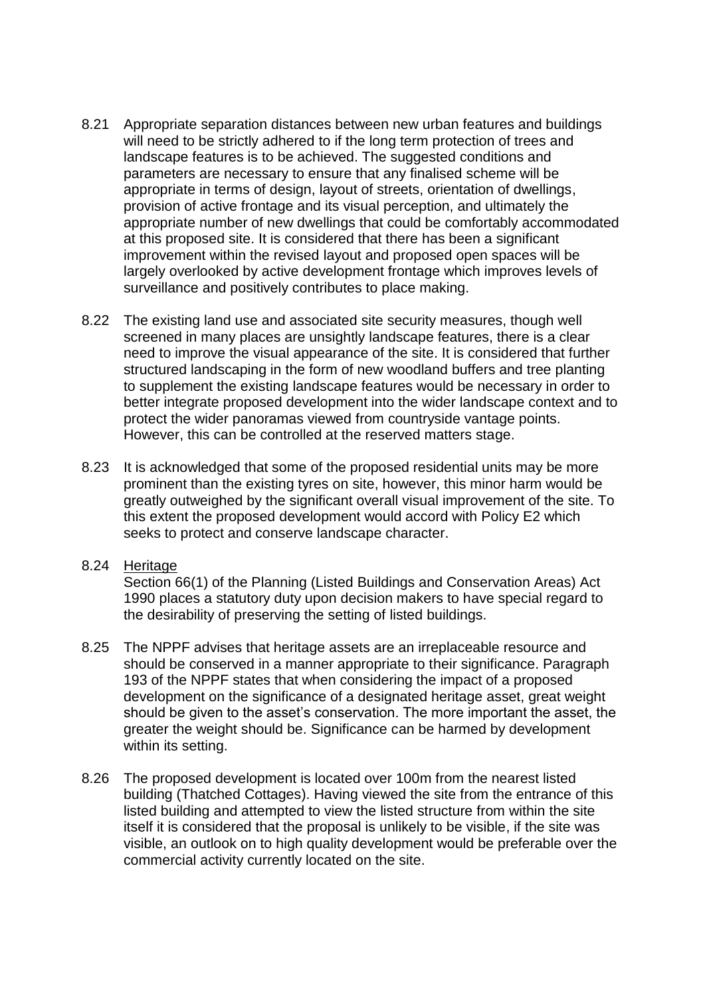- 8.21 Appropriate separation distances between new urban features and buildings will need to be strictly adhered to if the long term protection of trees and landscape features is to be achieved. The suggested conditions and parameters are necessary to ensure that any finalised scheme will be appropriate in terms of design, layout of streets, orientation of dwellings, provision of active frontage and its visual perception, and ultimately the appropriate number of new dwellings that could be comfortably accommodated at this proposed site. It is considered that there has been a significant improvement within the revised layout and proposed open spaces will be largely overlooked by active development frontage which improves levels of surveillance and positively contributes to place making.
- 8.22 The existing land use and associated site security measures, though well screened in many places are unsightly landscape features, there is a clear need to improve the visual appearance of the site. It is considered that further structured landscaping in the form of new woodland buffers and tree planting to supplement the existing landscape features would be necessary in order to better integrate proposed development into the wider landscape context and to protect the wider panoramas viewed from countryside vantage points. However, this can be controlled at the reserved matters stage.
- 8.23 It is acknowledged that some of the proposed residential units may be more prominent than the existing tyres on site, however, this minor harm would be greatly outweighed by the significant overall visual improvement of the site. To this extent the proposed development would accord with Policy E2 which seeks to protect and conserve landscape character.

### 8.24 Heritage

Section 66(1) of the Planning (Listed Buildings and Conservation Areas) Act 1990 places a statutory duty upon decision makers to have special regard to the desirability of preserving the setting of listed buildings.

- 8.25 The NPPF advises that heritage assets are an irreplaceable resource and should be conserved in a manner appropriate to their significance. Paragraph 193 of the NPPF states that when considering the impact of a proposed development on the significance of a designated heritage asset, great weight should be given to the asset's conservation. The more important the asset, the greater the weight should be. Significance can be harmed by development within its setting.
- 8.26 The proposed development is located over 100m from the nearest listed building (Thatched Cottages). Having viewed the site from the entrance of this listed building and attempted to view the listed structure from within the site itself it is considered that the proposal is unlikely to be visible, if the site was visible, an outlook on to high quality development would be preferable over the commercial activity currently located on the site.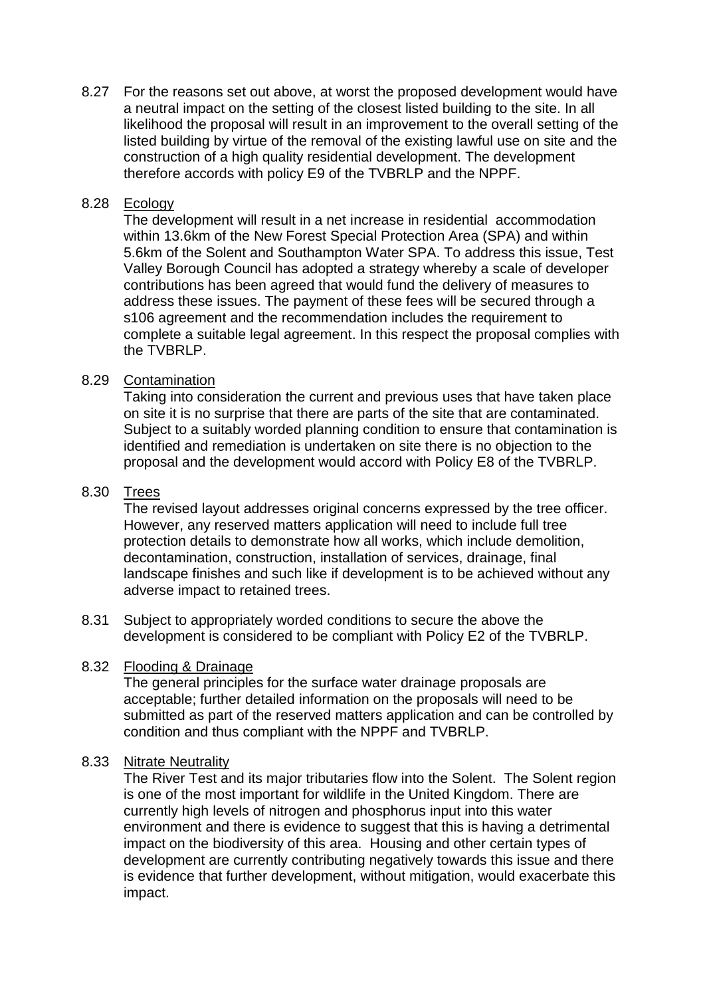8.27 For the reasons set out above, at worst the proposed development would have a neutral impact on the setting of the closest listed building to the site. In all likelihood the proposal will result in an improvement to the overall setting of the listed building by virtue of the removal of the existing lawful use on site and the construction of a high quality residential development. The development therefore accords with policy E9 of the TVBRLP and the NPPF.

## 8.28 Ecology

The development will result in a net increase in residential accommodation within 13.6km of the New Forest Special Protection Area (SPA) and within 5.6km of the Solent and Southampton Water SPA. To address this issue, Test Valley Borough Council has adopted a strategy whereby a scale of developer contributions has been agreed that would fund the delivery of measures to address these issues. The payment of these fees will be secured through a s106 agreement and the recommendation includes the requirement to complete a suitable legal agreement. In this respect the proposal complies with the TVBRLP.

## 8.29 Contamination

Taking into consideration the current and previous uses that have taken place on site it is no surprise that there are parts of the site that are contaminated. Subject to a suitably worded planning condition to ensure that contamination is identified and remediation is undertaken on site there is no objection to the proposal and the development would accord with Policy E8 of the TVBRLP.

### 8.30 Trees

The revised layout addresses original concerns expressed by the tree officer. However, any reserved matters application will need to include full tree protection details to demonstrate how all works, which include demolition, decontamination, construction, installation of services, drainage, final landscape finishes and such like if development is to be achieved without any adverse impact to retained trees.

8.31 Subject to appropriately worded conditions to secure the above the development is considered to be compliant with Policy E2 of the TVBRLP.

### 8.32 Flooding & Drainage

The general principles for the surface water drainage proposals are acceptable; further detailed information on the proposals will need to be submitted as part of the reserved matters application and can be controlled by condition and thus compliant with the NPPF and TVBRLP.

### 8.33 Nitrate Neutrality

The River Test and its major tributaries flow into the Solent. The Solent region is one of the most important for wildlife in the United Kingdom. There are currently high levels of nitrogen and phosphorus input into this water environment and there is evidence to suggest that this is having a detrimental impact on the biodiversity of this area. Housing and other certain types of development are currently contributing negatively towards this issue and there is evidence that further development, without mitigation, would exacerbate this impact.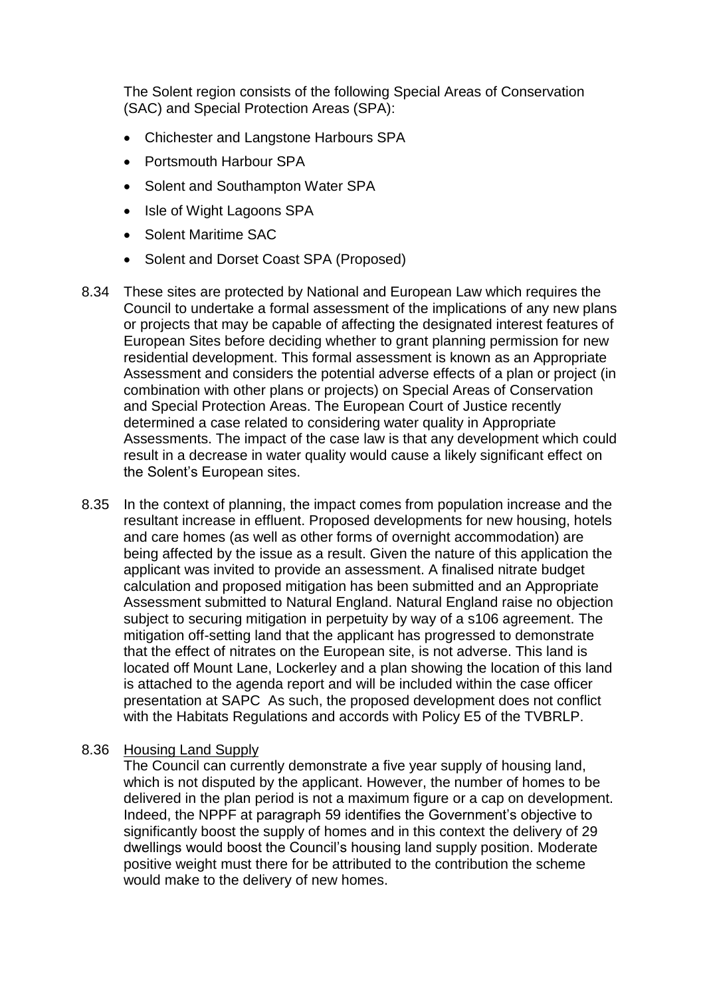The Solent region consists of the following Special Areas of Conservation (SAC) and Special Protection Areas (SPA):

- Chichester and Langstone Harbours SPA
- Portsmouth Harbour SPA
- Solent and Southampton Water SPA
- Isle of Wight Lagoons SPA
- Solent Maritime SAC
- Solent and Dorset Coast SPA (Proposed)
- 8.34 These sites are protected by National and European Law which requires the Council to undertake a formal assessment of the implications of any new plans or projects that may be capable of affecting the designated interest features of European Sites before deciding whether to grant planning permission for new residential development. This formal assessment is known as an Appropriate Assessment and considers the potential adverse effects of a plan or project (in combination with other plans or projects) on Special Areas of Conservation and Special Protection Areas. The European Court of Justice recently determined a case related to considering water quality in Appropriate Assessments. The impact of the case law is that any development which could result in a decrease in water quality would cause a likely significant effect on the Solent's European sites.
- 8.35 In the context of planning, the impact comes from population increase and the resultant increase in effluent. Proposed developments for new housing, hotels and care homes (as well as other forms of overnight accommodation) are being affected by the issue as a result. Given the nature of this application the applicant was invited to provide an assessment. A finalised nitrate budget calculation and proposed mitigation has been submitted and an Appropriate Assessment submitted to Natural England. Natural England raise no objection subject to securing mitigation in perpetuity by way of a s106 agreement. The mitigation off-setting land that the applicant has progressed to demonstrate that the effect of nitrates on the European site, is not adverse. This land is located off Mount Lane, Lockerley and a plan showing the location of this land is attached to the agenda report and will be included within the case officer presentation at SAPC As such, the proposed development does not conflict with the Habitats Regulations and accords with Policy E5 of the TVBRLP.

#### 8.36 Housing Land Supply

The Council can currently demonstrate a five year supply of housing land, which is not disputed by the applicant. However, the number of homes to be delivered in the plan period is not a maximum figure or a cap on development. Indeed, the NPPF at paragraph 59 identifies the Government's objective to significantly boost the supply of homes and in this context the delivery of 29 dwellings would boost the Council's housing land supply position. Moderate positive weight must there for be attributed to the contribution the scheme would make to the delivery of new homes.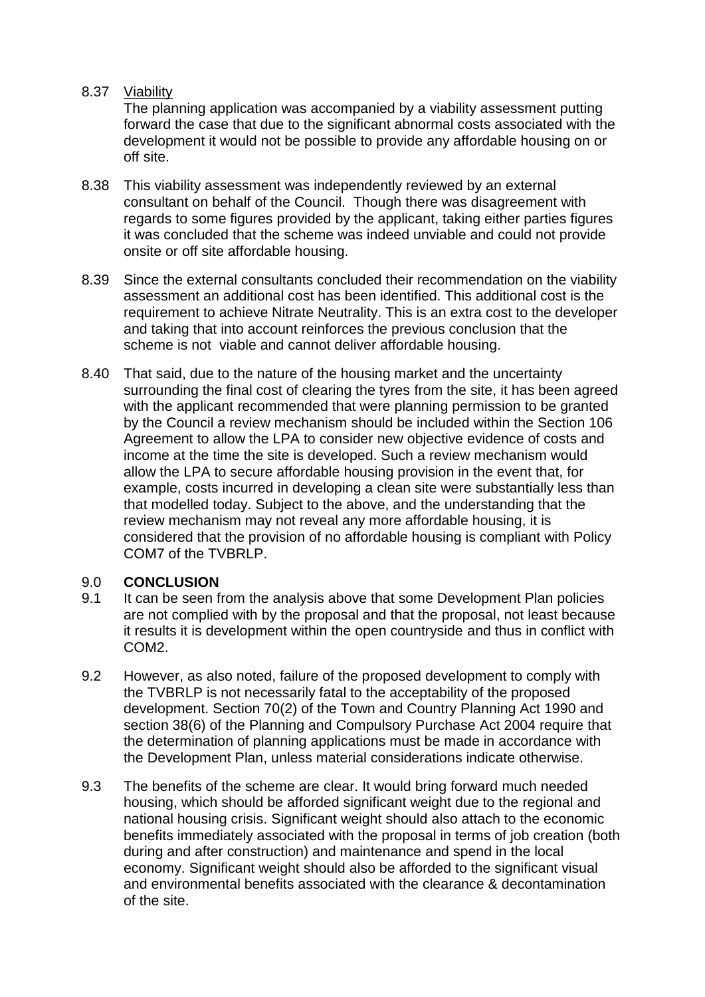### 8.37 Viability

The planning application was accompanied by a viability assessment putting forward the case that due to the significant abnormal costs associated with the development it would not be possible to provide any affordable housing on or off site.

- 8.38 This viability assessment was independently reviewed by an external consultant on behalf of the Council. Though there was disagreement with regards to some figures provided by the applicant, taking either parties figures it was concluded that the scheme was indeed unviable and could not provide onsite or off site affordable housing.
- 8.39 Since the external consultants concluded their recommendation on the viability assessment an additional cost has been identified. This additional cost is the requirement to achieve Nitrate Neutrality. This is an extra cost to the developer and taking that into account reinforces the previous conclusion that the scheme is not viable and cannot deliver affordable housing.
- 8.40 That said, due to the nature of the housing market and the uncertainty surrounding the final cost of clearing the tyres from the site, it has been agreed with the applicant recommended that were planning permission to be granted by the Council a review mechanism should be included within the Section 106 Agreement to allow the LPA to consider new objective evidence of costs and income at the time the site is developed. Such a review mechanism would allow the LPA to secure affordable housing provision in the event that, for example, costs incurred in developing a clean site were substantially less than that modelled today. Subject to the above, and the understanding that the review mechanism may not reveal any more affordable housing, it is considered that the provision of no affordable housing is compliant with Policy COM7 of the TVBRLP.

# 9.0 **CONCLUSION**

- 9.1 It can be seen from the analysis above that some Development Plan policies are not complied with by the proposal and that the proposal, not least because it results it is development within the open countryside and thus in conflict with COM2.
- 9.2 However, as also noted, failure of the proposed development to comply with the TVBRLP is not necessarily fatal to the acceptability of the proposed development. Section 70(2) of the Town and Country Planning Act 1990 and section 38(6) of the Planning and Compulsory Purchase Act 2004 require that the determination of planning applications must be made in accordance with the Development Plan, unless material considerations indicate otherwise.
- 9.3 The benefits of the scheme are clear. It would bring forward much needed housing, which should be afforded significant weight due to the regional and national housing crisis. Significant weight should also attach to the economic benefits immediately associated with the proposal in terms of job creation (both during and after construction) and maintenance and spend in the local economy. Significant weight should also be afforded to the significant visual and environmental benefits associated with the clearance & decontamination of the site.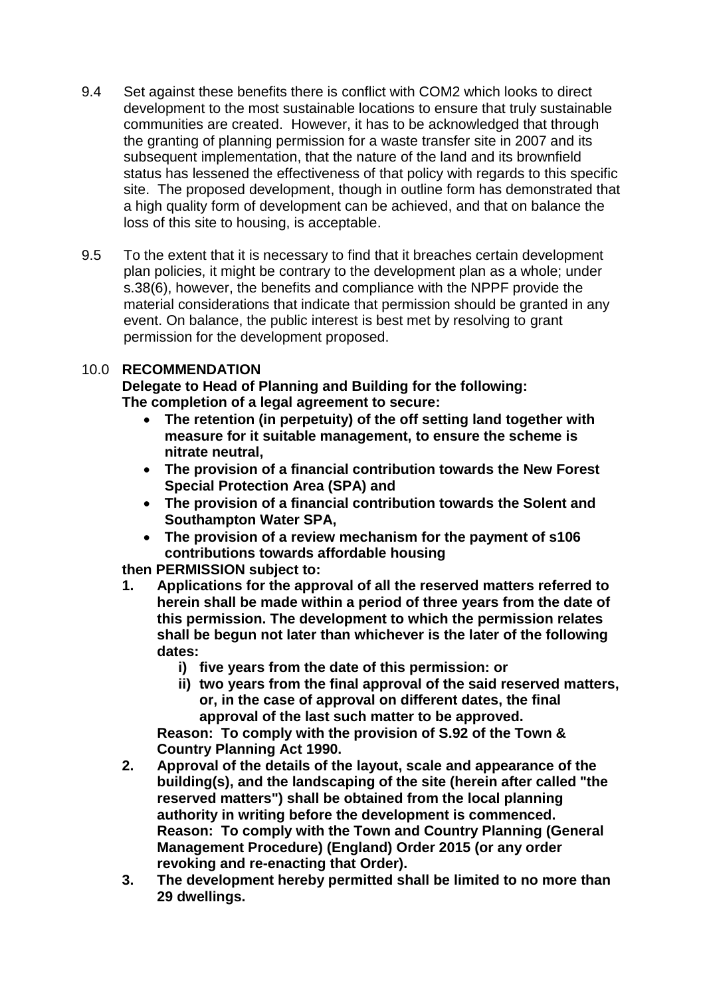- 9.4 Set against these benefits there is conflict with COM2 which looks to direct development to the most sustainable locations to ensure that truly sustainable communities are created. However, it has to be acknowledged that through the granting of planning permission for a waste transfer site in 2007 and its subsequent implementation, that the nature of the land and its brownfield status has lessened the effectiveness of that policy with regards to this specific site. The proposed development, though in outline form has demonstrated that a high quality form of development can be achieved, and that on balance the loss of this site to housing, is acceptable.
- 9.5 To the extent that it is necessary to find that it breaches certain development plan policies, it might be contrary to the development plan as a whole; under s.38(6), however, the benefits and compliance with the NPPF provide the material considerations that indicate that permission should be granted in any event. On balance, the public interest is best met by resolving to grant permission for the development proposed.

# 10.0 **RECOMMENDATION**

**Delegate to Head of Planning and Building for the following: The completion of a legal agreement to secure:**

- **The retention (in perpetuity) of the off setting land together with measure for it suitable management, to ensure the scheme is nitrate neutral,**
- **The provision of a financial contribution towards the New Forest Special Protection Area (SPA) and**
- **The provision of a financial contribution towards the Solent and Southampton Water SPA,**
- **The provision of a review mechanism for the payment of s106 contributions towards affordable housing**

**then PERMISSION subject to:**

- **1. Applications for the approval of all the reserved matters referred to herein shall be made within a period of three years from the date of this permission. The development to which the permission relates shall be begun not later than whichever is the later of the following dates:**
	- **i) five years from the date of this permission: or**
	- **ii) two years from the final approval of the said reserved matters, or, in the case of approval on different dates, the final approval of the last such matter to be approved.**

**Reason: To comply with the provision of S.92 of the Town & Country Planning Act 1990.**

- **2. Approval of the details of the layout, scale and appearance of the building(s), and the landscaping of the site (herein after called "the reserved matters") shall be obtained from the local planning authority in writing before the development is commenced. Reason: To comply with the Town and Country Planning (General Management Procedure) (England) Order 2015 (or any order revoking and re-enacting that Order).**
- **3. The development hereby permitted shall be limited to no more than 29 dwellings.**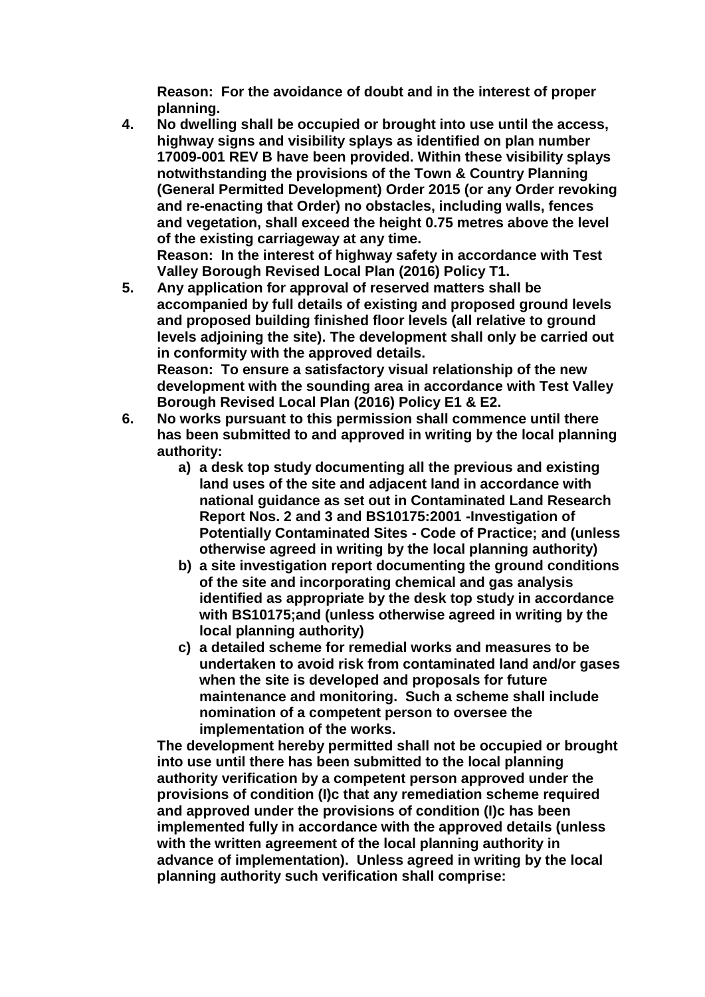**Reason: For the avoidance of doubt and in the interest of proper planning.** 

**4. No dwelling shall be occupied or brought into use until the access, highway signs and visibility splays as identified on plan number 17009-001 REV B have been provided. Within these visibility splays notwithstanding the provisions of the Town & Country Planning (General Permitted Development) Order 2015 (or any Order revoking and re-enacting that Order) no obstacles, including walls, fences and vegetation, shall exceed the height 0.75 metres above the level of the existing carriageway at any time.**

**Reason: In the interest of highway safety in accordance with Test Valley Borough Revised Local Plan (2016) Policy T1.**

**5. Any application for approval of reserved matters shall be accompanied by full details of existing and proposed ground levels and proposed building finished floor levels (all relative to ground levels adjoining the site). The development shall only be carried out in conformity with the approved details. Reason: To ensure a satisfactory visual relationship of the new** 

**development with the sounding area in accordance with Test Valley Borough Revised Local Plan (2016) Policy E1 & E2.**

- **6. No works pursuant to this permission shall commence until there has been submitted to and approved in writing by the local planning authority:**
	- **a) a desk top study documenting all the previous and existing land uses of the site and adjacent land in accordance with national guidance as set out in Contaminated Land Research Report Nos. 2 and 3 and BS10175:2001 -Investigation of Potentially Contaminated Sites - Code of Practice; and (unless otherwise agreed in writing by the local planning authority)**
	- **b) a site investigation report documenting the ground conditions of the site and incorporating chemical and gas analysis identified as appropriate by the desk top study in accordance with BS10175;and (unless otherwise agreed in writing by the local planning authority)**
	- **c) a detailed scheme for remedial works and measures to be undertaken to avoid risk from contaminated land and/or gases when the site is developed and proposals for future maintenance and monitoring. Such a scheme shall include nomination of a competent person to oversee the implementation of the works.**

**The development hereby permitted shall not be occupied or brought into use until there has been submitted to the local planning authority verification by a competent person approved under the provisions of condition (I)c that any remediation scheme required and approved under the provisions of condition (I)c has been implemented fully in accordance with the approved details (unless with the written agreement of the local planning authority in advance of implementation). Unless agreed in writing by the local planning authority such verification shall comprise:**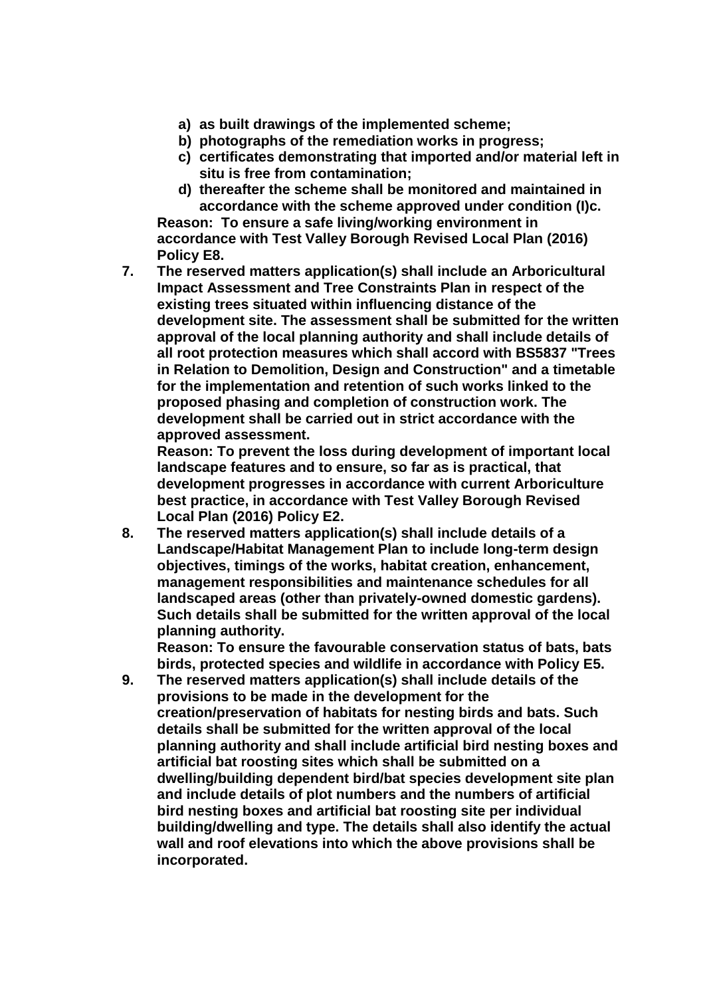- **a) as built drawings of the implemented scheme;**
- **b) photographs of the remediation works in progress;**
- **c) certificates demonstrating that imported and/or material left in situ is free from contamination;**
- **d) thereafter the scheme shall be monitored and maintained in accordance with the scheme approved under condition (I)c.**

**Reason: To ensure a safe living/working environment in accordance with Test Valley Borough Revised Local Plan (2016) Policy E8.**

**7. The reserved matters application(s) shall include an Arboricultural Impact Assessment and Tree Constraints Plan in respect of the existing trees situated within influencing distance of the development site. The assessment shall be submitted for the written approval of the local planning authority and shall include details of all root protection measures which shall accord with BS5837 "Trees in Relation to Demolition, Design and Construction" and a timetable for the implementation and retention of such works linked to the proposed phasing and completion of construction work. The development shall be carried out in strict accordance with the approved assessment.**

**Reason: To prevent the loss during development of important local landscape features and to ensure, so far as is practical, that development progresses in accordance with current Arboriculture best practice, in accordance with Test Valley Borough Revised Local Plan (2016) Policy E2.**

**8. The reserved matters application(s) shall include details of a Landscape/Habitat Management Plan to include long-term design objectives, timings of the works, habitat creation, enhancement, management responsibilities and maintenance schedules for all landscaped areas (other than privately-owned domestic gardens). Such details shall be submitted for the written approval of the local planning authority.** 

**Reason: To ensure the favourable conservation status of bats, bats birds, protected species and wildlife in accordance with Policy E5.**

**9. The reserved matters application(s) shall include details of the provisions to be made in the development for the creation/preservation of habitats for nesting birds and bats. Such details shall be submitted for the written approval of the local planning authority and shall include artificial bird nesting boxes and artificial bat roosting sites which shall be submitted on a dwelling/building dependent bird/bat species development site plan and include details of plot numbers and the numbers of artificial bird nesting boxes and artificial bat roosting site per individual building/dwelling and type. The details shall also identify the actual wall and roof elevations into which the above provisions shall be incorporated.**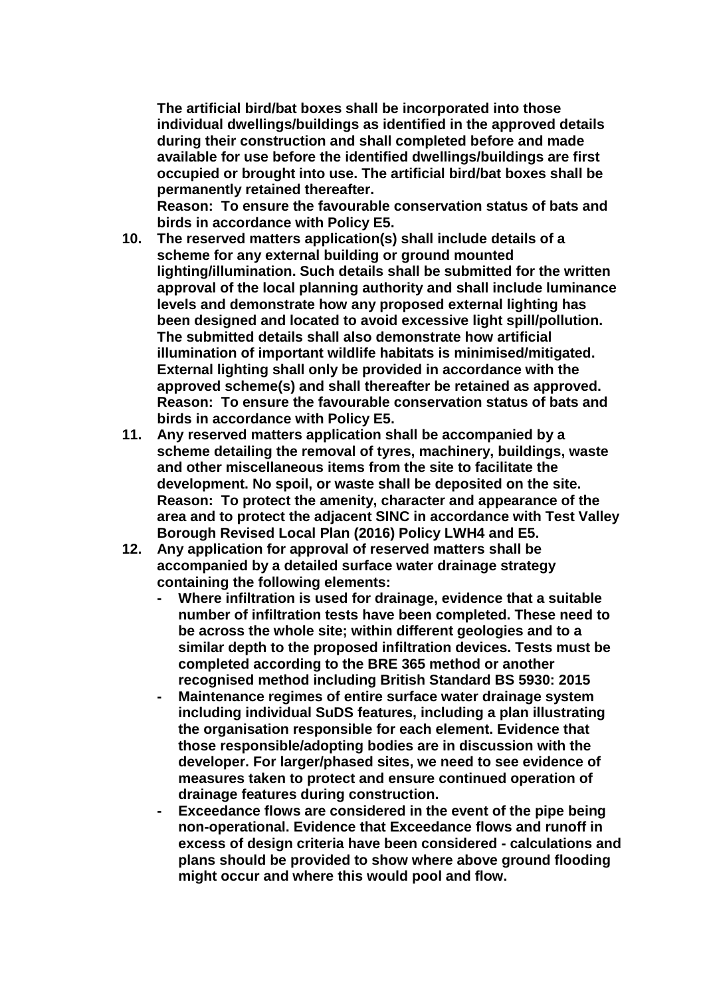**The artificial bird/bat boxes shall be incorporated into those individual dwellings/buildings as identified in the approved details during their construction and shall completed before and made available for use before the identified dwellings/buildings are first occupied or brought into use. The artificial bird/bat boxes shall be permanently retained thereafter.**

**Reason: To ensure the favourable conservation status of bats and birds in accordance with Policy E5.**

- **10. The reserved matters application(s) shall include details of a scheme for any external building or ground mounted lighting/illumination. Such details shall be submitted for the written approval of the local planning authority and shall include luminance levels and demonstrate how any proposed external lighting has been designed and located to avoid excessive light spill/pollution. The submitted details shall also demonstrate how artificial illumination of important wildlife habitats is minimised/mitigated. External lighting shall only be provided in accordance with the approved scheme(s) and shall thereafter be retained as approved. Reason: To ensure the favourable conservation status of bats and birds in accordance with Policy E5.**
- **11. Any reserved matters application shall be accompanied by a scheme detailing the removal of tyres, machinery, buildings, waste and other miscellaneous items from the site to facilitate the development. No spoil, or waste shall be deposited on the site. Reason: To protect the amenity, character and appearance of the area and to protect the adjacent SINC in accordance with Test Valley Borough Revised Local Plan (2016) Policy LWH4 and E5.**
- **12. Any application for approval of reserved matters shall be accompanied by a detailed surface water drainage strategy containing the following elements:**
	- **- Where infiltration is used for drainage, evidence that a suitable number of infiltration tests have been completed. These need to be across the whole site; within different geologies and to a similar depth to the proposed infiltration devices. Tests must be completed according to the BRE 365 method or another recognised method including British Standard BS 5930: 2015**
	- **- Maintenance regimes of entire surface water drainage system including individual SuDS features, including a plan illustrating the organisation responsible for each element. Evidence that those responsible/adopting bodies are in discussion with the developer. For larger/phased sites, we need to see evidence of measures taken to protect and ensure continued operation of drainage features during construction.**
	- **- Exceedance flows are considered in the event of the pipe being non-operational. Evidence that Exceedance flows and runoff in excess of design criteria have been considered - calculations and plans should be provided to show where above ground flooding might occur and where this would pool and flow.**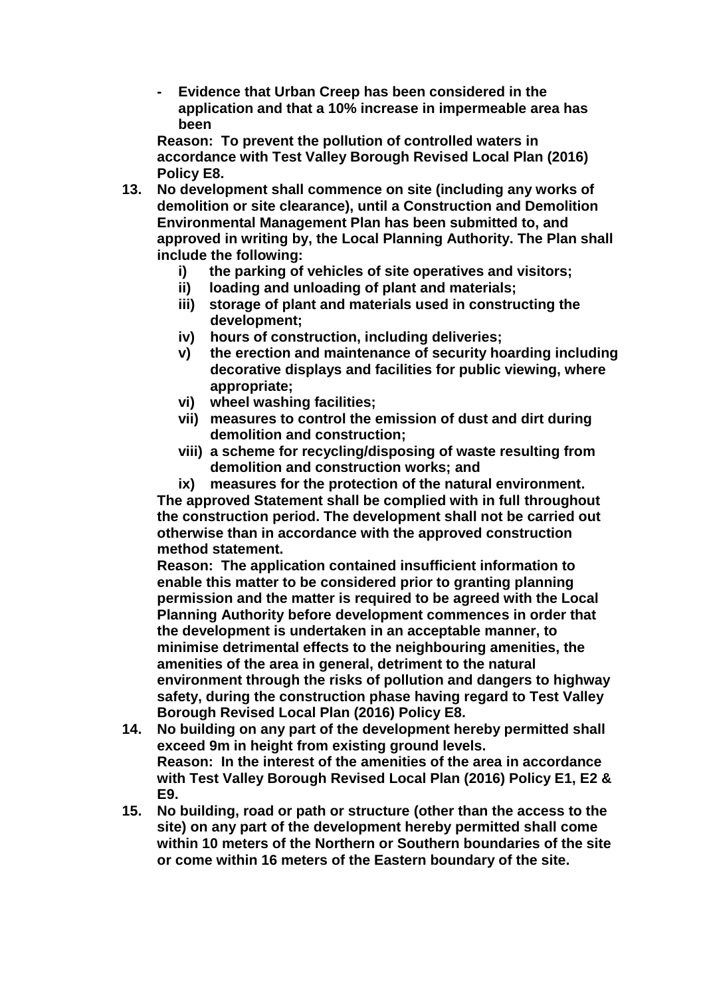**- Evidence that Urban Creep has been considered in the application and that a 10% increase in impermeable area has been** 

**Reason: To prevent the pollution of controlled waters in accordance with Test Valley Borough Revised Local Plan (2016) Policy E8.**

- **13. No development shall commence on site (including any works of demolition or site clearance), until a Construction and Demolition Environmental Management Plan has been submitted to, and approved in writing by, the Local Planning Authority. The Plan shall include the following:**
	- **i) the parking of vehicles of site operatives and visitors;**
	- **ii) loading and unloading of plant and materials;**
	- **iii) storage of plant and materials used in constructing the development;**
	- **iv) hours of construction, including deliveries;**
	- **v) the erection and maintenance of security hoarding including decorative displays and facilities for public viewing, where appropriate;**
	- **vi) wheel washing facilities;**
	- **vii) measures to control the emission of dust and dirt during demolition and construction;**
	- **viii) a scheme for recycling/disposing of waste resulting from demolition and construction works; and**

**ix) measures for the protection of the natural environment. The approved Statement shall be complied with in full throughout the construction period. The development shall not be carried out otherwise than in accordance with the approved construction method statement.**

**Reason: The application contained insufficient information to enable this matter to be considered prior to granting planning permission and the matter is required to be agreed with the Local Planning Authority before development commences in order that the development is undertaken in an acceptable manner, to minimise detrimental effects to the neighbouring amenities, the amenities of the area in general, detriment to the natural environment through the risks of pollution and dangers to highway safety, during the construction phase having regard to Test Valley Borough Revised Local Plan (2016) Policy E8.**

- **14. No building on any part of the development hereby permitted shall exceed 9m in height from existing ground levels. Reason: In the interest of the amenities of the area in accordance with Test Valley Borough Revised Local Plan (2016) Policy E1, E2 & E9.**
- **15. No building, road or path or structure (other than the access to the site) on any part of the development hereby permitted shall come within 10 meters of the Northern or Southern boundaries of the site or come within 16 meters of the Eastern boundary of the site.**